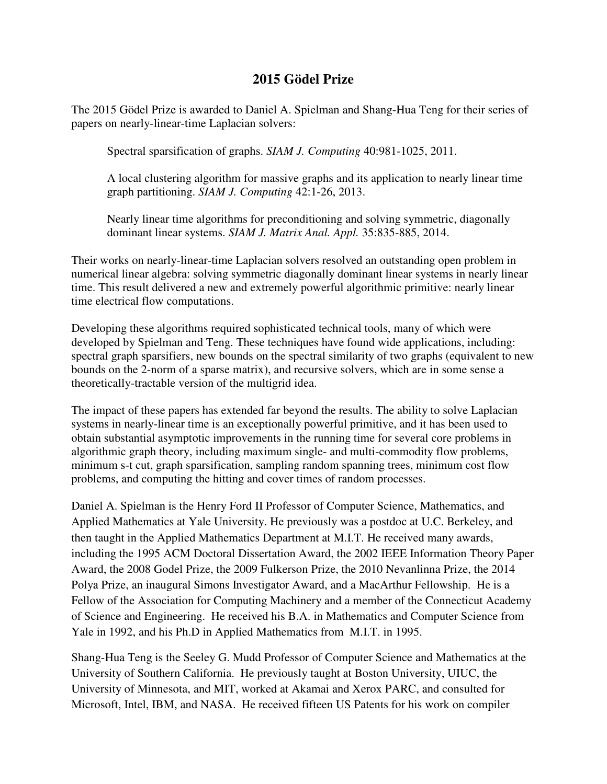## **2015 Gödel Prize**

The 2015 Gödel Prize is awarded to Daniel A. Spielman and Shang-Hua Teng for their series of papers on nearly-linear-time Laplacian solvers:

Spectral sparsification of graphs. *SIAM J. Computing* 40:981-1025, 2011.

A local clustering algorithm for massive graphs and its application to nearly linear time graph partitioning. *SIAM J. Computing* 42:1-26, 2013.

Nearly linear time algorithms for preconditioning and solving symmetric, diagonally dominant linear systems. *SIAM J. Matrix Anal. Appl.* 35:835-885, 2014.

Their works on nearly-linear-time Laplacian solvers resolved an outstanding open problem in numerical linear algebra: solving symmetric diagonally dominant linear systems in nearly linear time. This result delivered a new and extremely powerful algorithmic primitive: nearly linear time electrical flow computations.

Developing these algorithms required sophisticated technical tools, many of which were developed by Spielman and Teng. These techniques have found wide applications, including: spectral graph sparsifiers, new bounds on the spectral similarity of two graphs (equivalent to new bounds on the 2-norm of a sparse matrix), and recursive solvers, which are in some sense a theoretically-tractable version of the multigrid idea.

The impact of these papers has extended far beyond the results. The ability to solve Laplacian systems in nearly-linear time is an exceptionally powerful primitive, and it has been used to obtain substantial asymptotic improvements in the running time for several core problems in algorithmic graph theory, including maximum single- and multi-commodity flow problems, minimum s-t cut, graph sparsification, sampling random spanning trees, minimum cost flow problems, and computing the hitting and cover times of random processes.

Daniel A. Spielman is the Henry Ford II Professor of Computer Science, Mathematics, and Applied Mathematics at Yale University. He previously was a postdoc at U.C. Berkeley, and then taught in the Applied Mathematics Department at M.I.T. He received many awards, including the 1995 ACM Doctoral Dissertation Award, the 2002 IEEE Information Theory Paper Award, the 2008 Godel Prize, the 2009 Fulkerson Prize, the 2010 Nevanlinna Prize, the 2014 Polya Prize, an inaugural Simons Investigator Award, and a MacArthur Fellowship. He is a Fellow of the Association for Computing Machinery and a member of the Connecticut Academy of Science and Engineering. He received his B.A. in Mathematics and Computer Science from Yale in 1992, and his Ph.D in Applied Mathematics from M.I.T. in 1995.

Shang-Hua Teng is the Seeley G. Mudd Professor of Computer Science and Mathematics at the University of Southern California. He previously taught at Boston University, UIUC, the University of Minnesota, and MIT, worked at Akamai and Xerox PARC, and consulted for Microsoft, Intel, IBM, and NASA. He received fifteen US Patents for his work on compiler